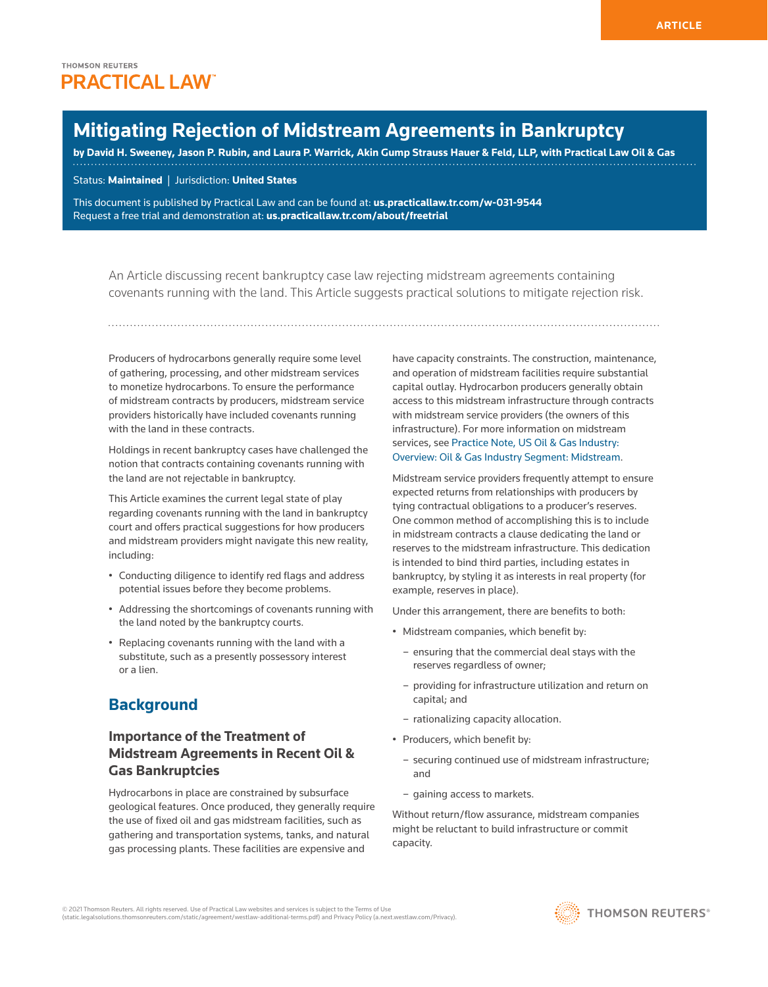# **Mitigating Rejection of Midstream Agreements in Bankruptcy**

**by David H. Sweeney, Jason P. Rubin, and Laura P. Warrick, Akin Gump Strauss Hauer & Feld, LLP, with Practical Law Oil & Gas**

Status: **Maintained** | Jurisdiction: **United States**

This document is published by Practical Law and can be found at: **us.practicallaw.tr.com/w-031-9544** Request a free trial and demonstration at: **us.practicallaw.tr.com/about/freetrial**

An Article discussing recent bankruptcy case law rejecting midstream agreements containing covenants running with the land. This Article suggests practical solutions to mitigate rejection risk.

Producers of hydrocarbons generally require some level of gathering, processing, and other midstream services to monetize hydrocarbons. To ensure the performance of midstream contracts by producers, midstream service providers historically have included covenants running with the land in these contracts.

Holdings in recent bankruptcy cases have challenged the notion that contracts containing covenants running with the land are not rejectable in bankruptcy.

This Article examines the current legal state of play regarding covenants running with the land in bankruptcy court and offers practical suggestions for how producers and midstream providers might navigate this new reality, including:

- Conducting diligence to identify red flags and address potential issues before they become problems.
- Addressing the shortcomings of covenants running with the land noted by the bankruptcy courts.
- Replacing covenants running with the land with a substitute, such as a presently possessory interest or a lien.

## **Background**

## **Importance of the Treatment of Midstream Agreements in Recent Oil & Gas Bankruptcies**

Hydrocarbons in place are constrained by subsurface geological features. Once produced, they generally require the use of fixed oil and gas midstream facilities, such as gathering and transportation systems, tanks, and natural gas processing plants. These facilities are expensive and

have capacity constraints. The construction, maintenance, and operation of midstream facilities require substantial capital outlay. Hydrocarbon producers generally obtain access to this midstream infrastructure through contracts with midstream service providers (the owners of this infrastructure). For more information on midstream services, see Practice Note, US Oil & Gas Industry: Overview: Oil & Gas Industry Segment: Midstream.

Midstream service providers frequently attempt to ensure expected returns from relationships with producers by tying contractual obligations to a producer's reserves. One common method of accomplishing this is to include in midstream contracts a clause dedicating the land or reserves to the midstream infrastructure. This dedication is intended to bind third parties, including estates in bankruptcy, by styling it as interests in real property (for example, reserves in place).

Under this arrangement, there are benefits to both:

- Midstream companies, which benefit by:
	- ensuring that the commercial deal stays with the reserves regardless of owner;
	- providing for infrastructure utilization and return on capital; and
	- rationalizing capacity allocation.
- Producers, which benefit by:
	- securing continued use of midstream infrastructure; and
	- gaining access to markets.

Without return/flow assurance, midstream companies might be reluctant to build infrastructure or commit capacity.

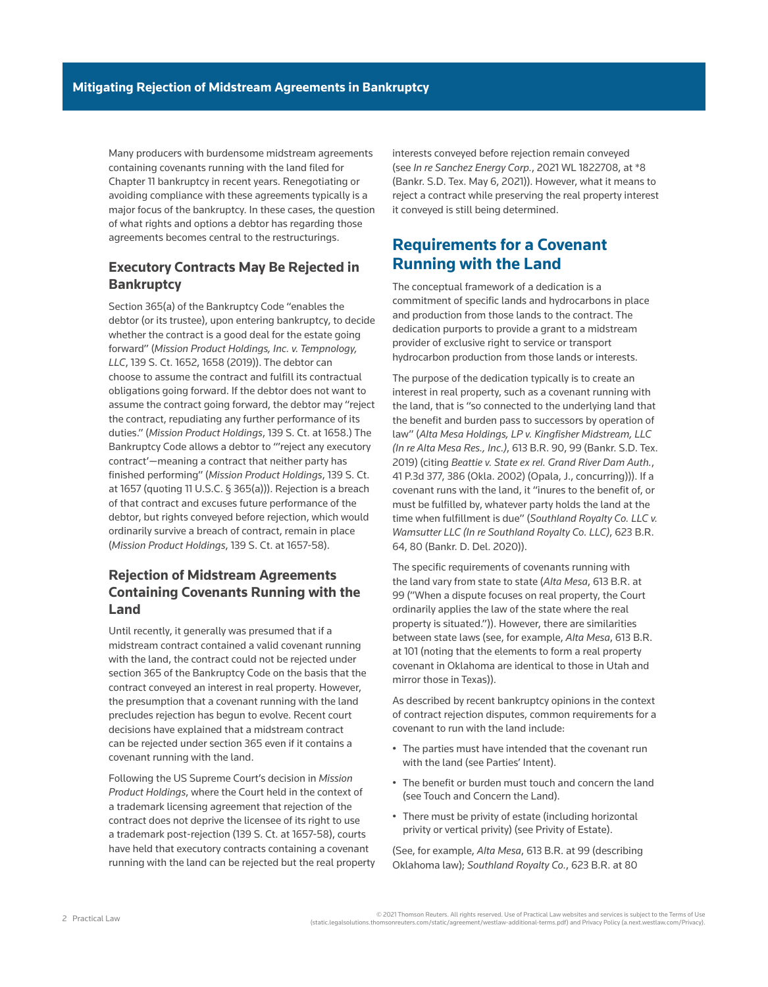Many producers with burdensome midstream agreements containing covenants running with the land filed for Chapter 11 bankruptcy in recent years. Renegotiating or avoiding compliance with these agreements typically is a major focus of the bankruptcy. In these cases, the question of what rights and options a debtor has regarding those agreements becomes central to the restructurings.

### **Executory Contracts May Be Rejected in Bankruptcy**

Section 365(a) of the Bankruptcy Code "enables the debtor (or its trustee), upon entering bankruptcy, to decide whether the contract is a good deal for the estate going forward" (*Mission Product Holdings, Inc. v. Tempnology, LLC*, 139 S. Ct. 1652, 1658 (2019)). The debtor can choose to assume the contract and fulfill its contractual obligations going forward. If the debtor does not want to assume the contract going forward, the debtor may "reject the contract, repudiating any further performance of its duties." (*Mission Product Holdings*, 139 S. Ct. at 1658.) The Bankruptcy Code allows a debtor to "'reject any executory contract'—meaning a contract that neither party has finished performing" (*Mission Product Holdings*, 139 S. Ct. at 1657 (quoting 11 U.S.C. § 365(a))). Rejection is a breach of that contract and excuses future performance of the debtor, but rights conveyed before rejection, which would ordinarily survive a breach of contract, remain in place (*Mission Product Holdings*, 139 S. Ct. at 1657-58).

## **Rejection of Midstream Agreements Containing Covenants Running with the Land**

Until recently, it generally was presumed that if a midstream contract contained a valid covenant running with the land, the contract could not be rejected under section 365 of the Bankruptcy Code on the basis that the contract conveyed an interest in real property. However, the presumption that a covenant running with the land precludes rejection has begun to evolve. Recent court decisions have explained that a midstream contract can be rejected under section 365 even if it contains a covenant running with the land.

Following the US Supreme Court's decision in *Mission Product Holdings*, where the Court held in the context of a trademark licensing agreement that rejection of the contract does not deprive the licensee of its right to use a trademark post-rejection (139 S. Ct. at 1657-58), courts have held that executory contracts containing a covenant running with the land can be rejected but the real property interests conveyed before rejection remain conveyed (see *In re Sanchez Energy Corp.*, 2021 WL 1822708, at \*8 (Bankr. S.D. Tex. May 6, 2021)). However, what it means to reject a contract while preserving the real property interest it conveyed is still being determined.

## **Requirements for a Covenant Running with the Land**

The conceptual framework of a dedication is a commitment of specific lands and hydrocarbons in place and production from those lands to the contract. The dedication purports to provide a grant to a midstream provider of exclusive right to service or transport hydrocarbon production from those lands or interests.

The purpose of the dedication typically is to create an interest in real property, such as a covenant running with the land, that is "so connected to the underlying land that the benefit and burden pass to successors by operation of law" (*Alta Mesa Holdings, LP v. Kingfisher Midstream, LLC (In re Alta Mesa Res., Inc.)*, 613 B.R. 90, 99 (Bankr. S.D. Tex. 2019) (citing *Beattie v. State ex rel. Grand River Dam Auth.*, 41 P.3d 377, 386 (Okla. 2002) (Opala, J., concurring))). If a covenant runs with the land, it "inures to the benefit of, or must be fulfilled by, whatever party holds the land at the time when fulfillment is due" (*Southland Royalty Co. LLC v. Wamsutter LLC (In re Southland Royalty Co. LLC)*, 623 B.R. 64, 80 (Bankr. D. Del. 2020)).

The specific requirements of covenants running with the land vary from state to state (*Alta Mesa*, 613 B.R. at 99 ("When a dispute focuses on real property, the Court ordinarily applies the law of the state where the real property is situated.")). However, there are similarities between state laws (see, for example, *Alta Mesa*, 613 B.R. at 101 (noting that the elements to form a real property covenant in Oklahoma are identical to those in Utah and mirror those in Texas)).

As described by recent bankruptcy opinions in the context of contract rejection disputes, common requirements for a covenant to run with the land include:

- The parties must have intended that the covenant run with the land (see Parties' Intent).
- The benefit or burden must touch and concern the land (see Touch and Concern the Land).
- There must be privity of estate (including horizontal privity or vertical privity) (see Privity of Estate).

(See, for example, *Alta Mesa*, 613 B.R. at 99 (describing Oklahoma law); *Southland Royalty Co.*, 623 B.R. at 80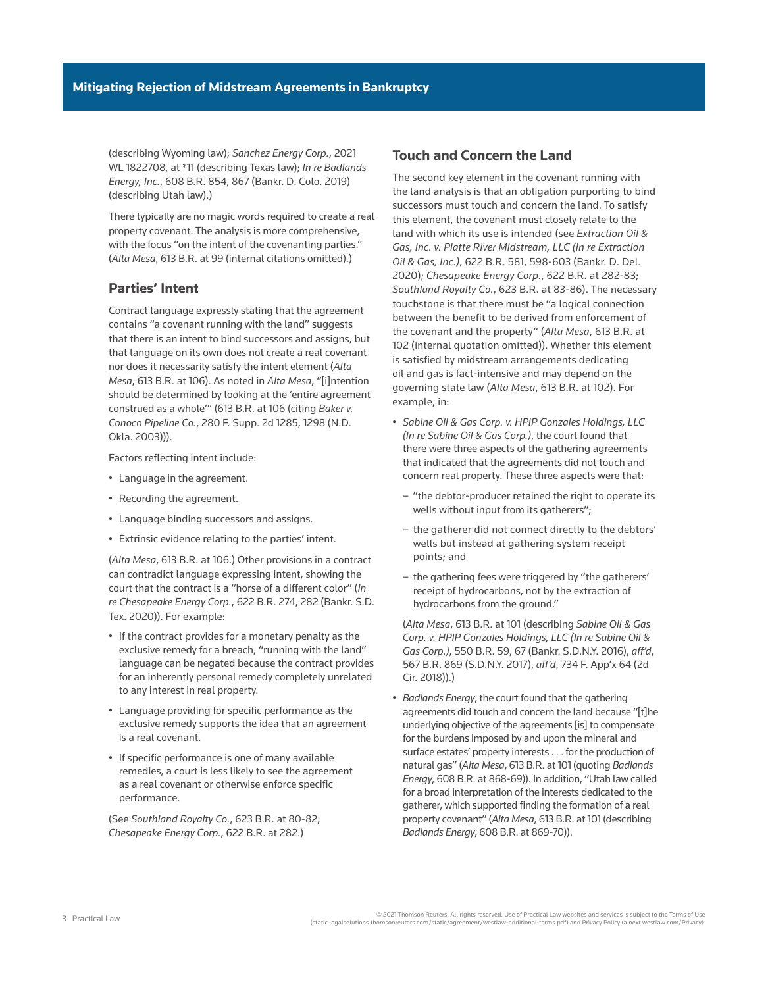(describing Wyoming law); *Sanchez Energy Corp.*, 2021 WL 1822708, at \*11 (describing Texas law); *In re Badlands Energy, Inc.*, 608 B.R. 854, 867 (Bankr. D. Colo. 2019) (describing Utah law).)

There typically are no magic words required to create a real property covenant. The analysis is more comprehensive, with the focus "on the intent of the covenanting parties." (*Alta Mesa*, 613 B.R. at 99 (internal citations omitted).)

### **Parties' Intent**

Contract language expressly stating that the agreement contains "a covenant running with the land" suggests that there is an intent to bind successors and assigns, but that language on its own does not create a real covenant nor does it necessarily satisfy the intent element (*Alta Mesa*, 613 B.R. at 106). As noted in *Alta Mesa*, "[i]ntention should be determined by looking at the 'entire agreement construed as a whole'" (613 B.R. at 106 (citing *Baker v. Conoco Pipeline Co.*, 280 F. Supp. 2d 1285, 1298 (N.D. Okla. 2003))).

Factors reflecting intent include:

- Language in the agreement.
- Recording the agreement.
- Language binding successors and assigns.
- Extrinsic evidence relating to the parties' intent.

(*Alta Mesa*, 613 B.R. at 106.) Other provisions in a contract can contradict language expressing intent, showing the court that the contract is a "horse of a different color" (*In re Chesapeake Energy Corp.*, 622 B.R. 274, 282 (Bankr. S.D. Tex. 2020)). For example:

- If the contract provides for a monetary penalty as the exclusive remedy for a breach, "running with the land" language can be negated because the contract provides for an inherently personal remedy completely unrelated to any interest in real property.
- Language providing for specific performance as the exclusive remedy supports the idea that an agreement is a real covenant.
- If specific performance is one of many available remedies, a court is less likely to see the agreement as a real covenant or otherwise enforce specific performance.

(See *Southland Royalty Co.*, 623 B.R. at 80-82; *Chesapeake Energy Corp.*, 622 B.R. at 282.)

### **Touch and Concern the Land**

The second key element in the covenant running with the land analysis is that an obligation purporting to bind successors must touch and concern the land. To satisfy this element, the covenant must closely relate to the land with which its use is intended (see *Extraction Oil & Gas, Inc. v. Platte River Midstream, LLC (In re Extraction Oil & Gas, Inc.)*, 622 B.R. 581, 598-603 (Bankr. D. Del. 2020); *Chesapeake Energy Corp.*, 622 B.R. at 282-83; *Southland Royalty Co.*, 623 B.R. at 83-86). The necessary touchstone is that there must be "a logical connection between the benefit to be derived from enforcement of the covenant and the property" (*Alta Mesa*, 613 B.R. at 102 (internal quotation omitted)). Whether this element is satisfied by midstream arrangements dedicating oil and gas is fact-intensive and may depend on the governing state law (*Alta Mesa*, 613 B.R. at 102). For example, in:

- *Sabine Oil & Gas Corp. v. HPIP Gonzales Holdings, LLC (In re Sabine Oil & Gas Corp.)*, the court found that there were three aspects of the gathering agreements that indicated that the agreements did not touch and concern real property. These three aspects were that:
	- "the debtor-producer retained the right to operate its wells without input from its gatherers";
	- the gatherer did not connect directly to the debtors' wells but instead at gathering system receipt points; and
	- the gathering fees were triggered by "the gatherers' receipt of hydrocarbons, not by the extraction of hydrocarbons from the ground."

(*Alta Mesa*, 613 B.R. at 101 (describing *Sabine Oil & Gas Corp. v. HPIP Gonzales Holdings, LLC (In re Sabine Oil & Gas Corp.)*, 550 B.R. 59, 67 (Bankr. S.D.N.Y. 2016), *aff'd*, 567 B.R. 869 (S.D.N.Y. 2017), *aff'd*, 734 F. App'x 64 (2d Cir. 2018)).)

• *Badlands Energy*, the court found that the gathering agreements did touch and concern the land because "[t]he underlying objective of the agreements [is] to compensate for the burdens imposed by and upon the mineral and surface estates' property interests . . . for the production of natural gas" (*Alta Mesa*, 613 B.R. at 101 (quoting *Badlands Energy*, 608 B.R. at 868-69)). In addition, "Utah law called for a broad interpretation of the interests dedicated to the gatherer, which supported finding the formation of a real property covenant" (*Alta Mesa*, 613 B.R. at 101 (describing *Badlands Energy*, 608 B.R. at 869-70)).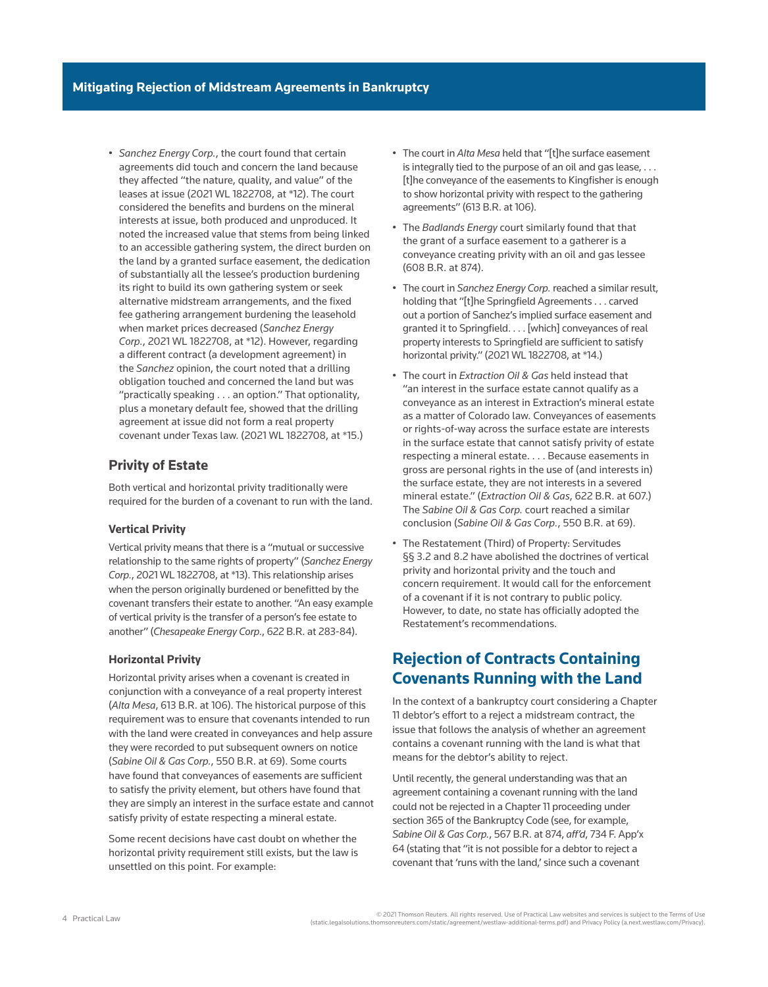• *Sanchez Energy Corp.*, the court found that certain agreements did touch and concern the land because they affected "the nature, quality, and value" of the leases at issue (2021 WL 1822708, at \*12). The court considered the benefits and burdens on the mineral interests at issue, both produced and unproduced. It noted the increased value that stems from being linked to an accessible gathering system, the direct burden on the land by a granted surface easement, the dedication of substantially all the lessee's production burdening its right to build its own gathering system or seek alternative midstream arrangements, and the fixed fee gathering arrangement burdening the leasehold when market prices decreased (*Sanchez Energy Corp.*, 2021 WL 1822708, at \*12). However, regarding a different contract (a development agreement) in the *Sanchez* opinion, the court noted that a drilling obligation touched and concerned the land but was "practically speaking . . . an option." That optionality, plus a monetary default fee, showed that the drilling agreement at issue did not form a real property covenant under Texas law. (2021 WL 1822708, at \*15.)

### **Privity of Estate**

Both vertical and horizontal privity traditionally were required for the burden of a covenant to run with the land.

#### **Vertical Privity**

Vertical privity means that there is a "mutual or successive relationship to the same rights of property" (*Sanchez Energy Corp.*, 2021 WL 1822708, at \*13). This relationship arises when the person originally burdened or benefitted by the covenant transfers their estate to another. "An easy example of vertical privity is the transfer of a person's fee estate to another" (*Chesapeake Energy Corp.*, 622 B.R. at 283-84).

#### **Horizontal Privity**

Horizontal privity arises when a covenant is created in conjunction with a conveyance of a real property interest (*Alta Mesa*, 613 B.R. at 106). The historical purpose of this requirement was to ensure that covenants intended to run with the land were created in conveyances and help assure they were recorded to put subsequent owners on notice (*Sabine Oil & Gas Corp.*, 550 B.R. at 69). Some courts have found that conveyances of easements are sufficient to satisfy the privity element, but others have found that they are simply an interest in the surface estate and cannot satisfy privity of estate respecting a mineral estate.

Some recent decisions have cast doubt on whether the horizontal privity requirement still exists, but the law is unsettled on this point. For example:

- The court in *Alta Mesa* held that "[t]he surface easement is integrally tied to the purpose of an oil and gas lease, . . . [t]he conveyance of the easements to Kingfisher is enough to show horizontal privity with respect to the gathering agreements" (613 B.R. at 106).
- The *Badlands Energy* court similarly found that that the grant of a surface easement to a gatherer is a conveyance creating privity with an oil and gas lessee (608 B.R. at 874).
- The court in *Sanchez Energy Corp.* reached a similar result, holding that "[t]he Springfield Agreements . . . carved out a portion of Sanchez's implied surface easement and granted it to Springfield. . . . [which] conveyances of real property interests to Springfield are sufficient to satisfy horizontal privity." (2021 WL 1822708, at \*14.)
- The court in *Extraction Oil & Gas* held instead that "an interest in the surface estate cannot qualify as a conveyance as an interest in Extraction's mineral estate as a matter of Colorado law. Conveyances of easements or rights-of-way across the surface estate are interests in the surface estate that cannot satisfy privity of estate respecting a mineral estate. . . . Because easements in gross are personal rights in the use of (and interests in) the surface estate, they are not interests in a severed mineral estate." (*Extraction Oil & Gas*, 622 B.R. at 607.) The *Sabine Oil & Gas Corp.* court reached a similar conclusion (*Sabine Oil & Gas Corp.*, 550 B.R. at 69).
- The Restatement (Third) of Property: Servitudes §§ 3.2 and 8.2 have abolished the doctrines of vertical privity and horizontal privity and the touch and concern requirement. It would call for the enforcement of a covenant if it is not contrary to public policy. However, to date, no state has officially adopted the Restatement's recommendations.

## **Rejection of Contracts Containing Covenants Running with the Land**

In the context of a bankruptcy court considering a Chapter 11 debtor's effort to a reject a midstream contract, the issue that follows the analysis of whether an agreement contains a covenant running with the land is what that means for the debtor's ability to reject.

Until recently, the general understanding was that an agreement containing a covenant running with the land could not be rejected in a Chapter 11 proceeding under section 365 of the Bankruptcy Code (see, for example, *Sabine Oil & Gas Corp.*, 567 B.R. at 874, *aff'd*, 734 F. App'x 64 (stating that "it is not possible for a debtor to reject a covenant that 'runs with the land,' since such a covenant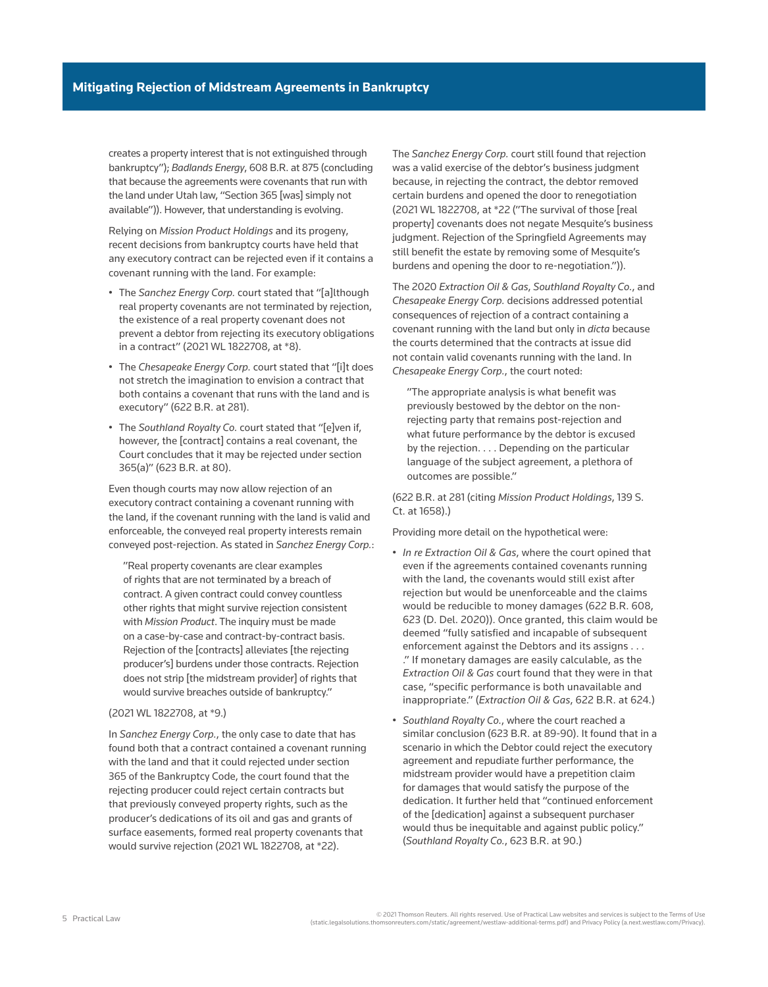creates a property interest that is not extinguished through bankruptcy"); *Badlands Energy*, 608 B.R. at 875 (concluding that because the agreements were covenants that run with the land under Utah law, "Section 365 [was] simply not available")). However, that understanding is evolving.

Relying on *Mission Product Holdings* and its progeny, recent decisions from bankruptcy courts have held that any executory contract can be rejected even if it contains a covenant running with the land. For example:

- The *Sanchez Energy Corp.* court stated that "[a]lthough real property covenants are not terminated by rejection, the existence of a real property covenant does not prevent a debtor from rejecting its executory obligations in a contract" (2021 WL 1822708, at \*8).
- The *Chesapeake Energy Corp.* court stated that "[i]t does not stretch the imagination to envision a contract that both contains a covenant that runs with the land and is executory" (622 B.R. at 281).
- The *Southland Royalty Co.* court stated that "[e]ven if, however, the [contract] contains a real covenant, the Court concludes that it may be rejected under section 365(a)" (623 B.R. at 80).

Even though courts may now allow rejection of an executory contract containing a covenant running with the land, if the covenant running with the land is valid and enforceable, the conveyed real property interests remain conveyed post-rejection. As stated in *Sanchez Energy Corp.*:

"Real property covenants are clear examples of rights that are not terminated by a breach of contract. A given contract could convey countless other rights that might survive rejection consistent with *Mission Product*. The inquiry must be made on a case-by-case and contract-by-contract basis. Rejection of the [contracts] alleviates [the rejecting producer's] burdens under those contracts. Rejection does not strip [the midstream provider] of rights that would survive breaches outside of bankruptcy."

#### (2021 WL 1822708, at \*9.)

In *Sanchez Energy Corp.*, the only case to date that has found both that a contract contained a covenant running with the land and that it could rejected under section 365 of the Bankruptcy Code, the court found that the rejecting producer could reject certain contracts but that previously conveyed property rights, such as the producer's dedications of its oil and gas and grants of surface easements, formed real property covenants that would survive rejection (2021 WL 1822708, at \*22).

The *Sanchez Energy Corp.* court still found that rejection was a valid exercise of the debtor's business judgment because, in rejecting the contract, the debtor removed certain burdens and opened the door to renegotiation (2021 WL 1822708, at \*22 ("The survival of those [real property] covenants does not negate Mesquite's business judgment. Rejection of the Springfield Agreements may still benefit the estate by removing some of Mesquite's burdens and opening the door to re-negotiation.")).

The 2020 *Extraction Oil & Gas*, *Southland Royalty Co.*, and *Chesapeake Energy Corp.* decisions addressed potential consequences of rejection of a contract containing a covenant running with the land but only in *dicta* because the courts determined that the contracts at issue did not contain valid covenants running with the land. In *Chesapeake Energy Corp.*, the court noted:

"The appropriate analysis is what benefit was previously bestowed by the debtor on the nonrejecting party that remains post-rejection and what future performance by the debtor is excused by the rejection. . . . Depending on the particular language of the subject agreement, a plethora of outcomes are possible."

(622 B.R. at 281 (citing *Mission Product Holdings*, 139 S. Ct. at 1658).)

Providing more detail on the hypothetical were:

- *In re Extraction Oil & Gas*, where the court opined that even if the agreements contained covenants running with the land, the covenants would still exist after rejection but would be unenforceable and the claims would be reducible to money damages (622 B.R. 608, 623 (D. Del. 2020)). Once granted, this claim would be deemed "fully satisfied and incapable of subsequent enforcement against the Debtors and its assigns . . . ." If monetary damages are easily calculable, as the *Extraction Oil & Gas* court found that they were in that case, "specific performance is both unavailable and inappropriate." (*Extraction Oil & Gas*, 622 B.R. at 624.)
- *Southland Royalty Co.*, where the court reached a similar conclusion (623 B.R. at 89-90). It found that in a scenario in which the Debtor could reject the executory agreement and repudiate further performance, the midstream provider would have a prepetition claim for damages that would satisfy the purpose of the dedication. It further held that "continued enforcement of the [dedication] against a subsequent purchaser would thus be inequitable and against public policy." (*Southland Royalty Co.*, 623 B.R. at 90.)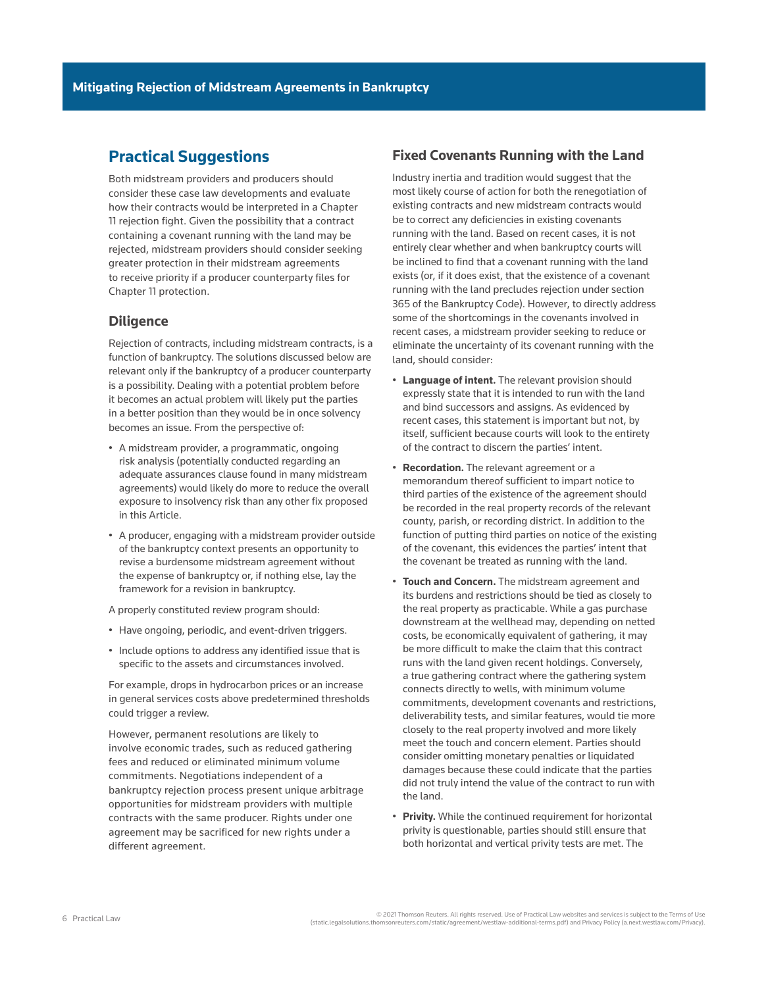## **Practical Suggestions**

Both midstream providers and producers should consider these case law developments and evaluate how their contracts would be interpreted in a Chapter 11 rejection fight. Given the possibility that a contract containing a covenant running with the land may be rejected, midstream providers should consider seeking greater protection in their midstream agreements to receive priority if a producer counterparty files for Chapter 11 protection.

### **Diligence**

Rejection of contracts, including midstream contracts, is a function of bankruptcy. The solutions discussed below are relevant only if the bankruptcy of a producer counterparty is a possibility. Dealing with a potential problem before it becomes an actual problem will likely put the parties in a better position than they would be in once solvency becomes an issue. From the perspective of:

- A midstream provider, a programmatic, ongoing risk analysis (potentially conducted regarding an adequate assurances clause found in many midstream agreements) would likely do more to reduce the overall exposure to insolvency risk than any other fix proposed in this Article.
- A producer, engaging with a midstream provider outside of the bankruptcy context presents an opportunity to revise a burdensome midstream agreement without the expense of bankruptcy or, if nothing else, lay the framework for a revision in bankruptcy.

A properly constituted review program should:

- Have ongoing, periodic, and event-driven triggers.
- Include options to address any identified issue that is specific to the assets and circumstances involved.

For example, drops in hydrocarbon prices or an increase in general services costs above predetermined thresholds could trigger a review.

However, permanent resolutions are likely to involve economic trades, such as reduced gathering fees and reduced or eliminated minimum volume commitments. Negotiations independent of a bankruptcy rejection process present unique arbitrage opportunities for midstream providers with multiple contracts with the same producer. Rights under one agreement may be sacrificed for new rights under a different agreement.

### **Fixed Covenants Running with the Land**

Industry inertia and tradition would suggest that the most likely course of action for both the renegotiation of existing contracts and new midstream contracts would be to correct any deficiencies in existing covenants running with the land. Based on recent cases, it is not entirely clear whether and when bankruptcy courts will be inclined to find that a covenant running with the land exists (or, if it does exist, that the existence of a covenant running with the land precludes rejection under section 365 of the Bankruptcy Code). However, to directly address some of the shortcomings in the covenants involved in recent cases, a midstream provider seeking to reduce or eliminate the uncertainty of its covenant running with the land, should consider:

- **Language of intent.** The relevant provision should expressly state that it is intended to run with the land and bind successors and assigns. As evidenced by recent cases, this statement is important but not, by itself, sufficient because courts will look to the entirety of the contract to discern the parties' intent.
- **Recordation.** The relevant agreement or a memorandum thereof sufficient to impart notice to third parties of the existence of the agreement should be recorded in the real property records of the relevant county, parish, or recording district. In addition to the function of putting third parties on notice of the existing of the covenant, this evidences the parties' intent that the covenant be treated as running with the land.
- **Touch and Concern.** The midstream agreement and its burdens and restrictions should be tied as closely to the real property as practicable. While a gas purchase downstream at the wellhead may, depending on netted costs, be economically equivalent of gathering, it may be more difficult to make the claim that this contract runs with the land given recent holdings. Conversely, a true gathering contract where the gathering system connects directly to wells, with minimum volume commitments, development covenants and restrictions, deliverability tests, and similar features, would tie more closely to the real property involved and more likely meet the touch and concern element. Parties should consider omitting monetary penalties or liquidated damages because these could indicate that the parties did not truly intend the value of the contract to run with the land.
- **Privity.** While the continued requirement for horizontal privity is questionable, parties should still ensure that both horizontal and vertical privity tests are met. The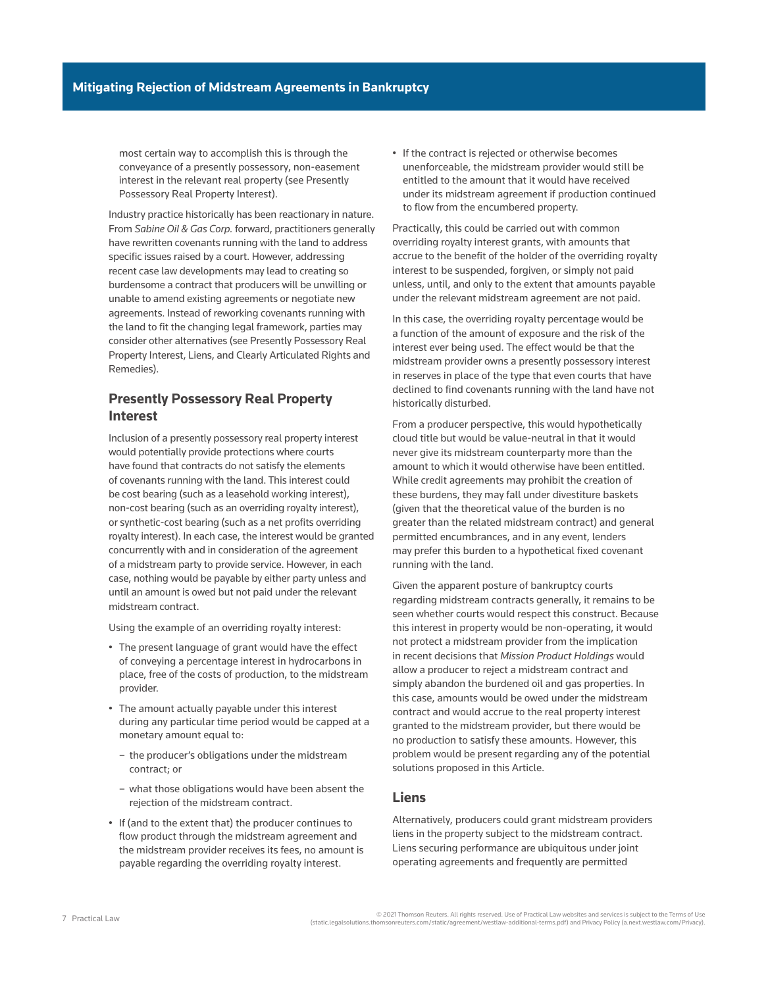most certain way to accomplish this is through the conveyance of a presently possessory, non-easement interest in the relevant real property (see Presently Possessory Real Property Interest).

Industry practice historically has been reactionary in nature. From *Sabine Oil & Gas Corp.* forward, practitioners generally have rewritten covenants running with the land to address specific issues raised by a court. However, addressing recent case law developments may lead to creating so burdensome a contract that producers will be unwilling or unable to amend existing agreements or negotiate new agreements. Instead of reworking covenants running with the land to fit the changing legal framework, parties may consider other alternatives (see Presently Possessory Real Property Interest, Liens, and Clearly Articulated Rights and Remedies).

### **Presently Possessory Real Property Interest**

Inclusion of a presently possessory real property interest would potentially provide protections where courts have found that contracts do not satisfy the elements of covenants running with the land. This interest could be cost bearing (such as a leasehold working interest), non-cost bearing (such as an overriding royalty interest), or synthetic-cost bearing (such as a net profits overriding royalty interest). In each case, the interest would be granted concurrently with and in consideration of the agreement of a midstream party to provide service. However, in each case, nothing would be payable by either party unless and until an amount is owed but not paid under the relevant midstream contract.

Using the example of an overriding royalty interest:

- The present language of grant would have the effect of conveying a percentage interest in hydrocarbons in place, free of the costs of production, to the midstream provider.
- The amount actually payable under this interest during any particular time period would be capped at a monetary amount equal to:
	- the producer's obligations under the midstream contract; or
	- what those obligations would have been absent the rejection of the midstream contract.
- If (and to the extent that) the producer continues to flow product through the midstream agreement and the midstream provider receives its fees, no amount is payable regarding the overriding royalty interest.

• If the contract is rejected or otherwise becomes unenforceable, the midstream provider would still be entitled to the amount that it would have received under its midstream agreement if production continued to flow from the encumbered property.

Practically, this could be carried out with common overriding royalty interest grants, with amounts that accrue to the benefit of the holder of the overriding royalty interest to be suspended, forgiven, or simply not paid unless, until, and only to the extent that amounts payable under the relevant midstream agreement are not paid.

In this case, the overriding royalty percentage would be a function of the amount of exposure and the risk of the interest ever being used. The effect would be that the midstream provider owns a presently possessory interest in reserves in place of the type that even courts that have declined to find covenants running with the land have not historically disturbed.

From a producer perspective, this would hypothetically cloud title but would be value-neutral in that it would never give its midstream counterparty more than the amount to which it would otherwise have been entitled. While credit agreements may prohibit the creation of these burdens, they may fall under divestiture baskets (given that the theoretical value of the burden is no greater than the related midstream contract) and general permitted encumbrances, and in any event, lenders may prefer this burden to a hypothetical fixed covenant running with the land.

Given the apparent posture of bankruptcy courts regarding midstream contracts generally, it remains to be seen whether courts would respect this construct. Because this interest in property would be non-operating, it would not protect a midstream provider from the implication in recent decisions that *Mission Product Holdings* would allow a producer to reject a midstream contract and simply abandon the burdened oil and gas properties. In this case, amounts would be owed under the midstream contract and would accrue to the real property interest granted to the midstream provider, but there would be no production to satisfy these amounts. However, this problem would be present regarding any of the potential solutions proposed in this Article.

### **Liens**

Alternatively, producers could grant midstream providers liens in the property subject to the midstream contract. Liens securing performance are ubiquitous under joint operating agreements and frequently are permitted